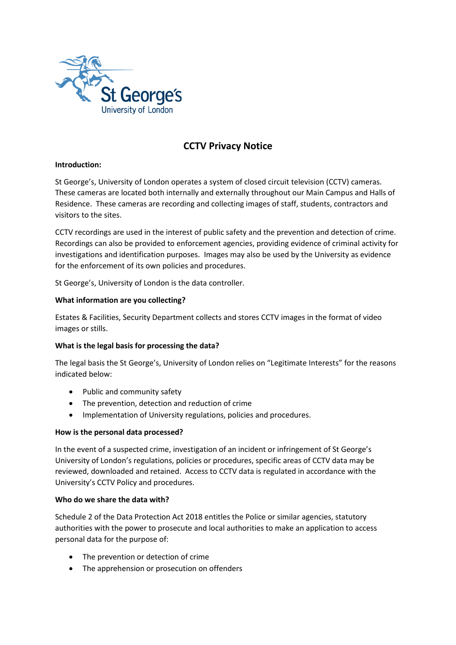

# **CCTV Privacy Notice**

# **Introduction:**

St George's, University of London operates a system of closed circuit television (CCTV) cameras. These cameras are located both internally and externally throughout our Main Campus and Halls of Residence. These cameras are recording and collecting images of staff, students, contractors and visitors to the sites.

CCTV recordings are used in the interest of public safety and the prevention and detection of crime. Recordings can also be provided to enforcement agencies, providing evidence of criminal activity for investigations and identification purposes. Images may also be used by the University as evidence for the enforcement of its own policies and procedures.

St George's, University of London is the data controller.

# **What information are you collecting?**

Estates & Facilities, Security Department collects and stores CCTV images in the format of video images or stills.

#### **What is the legal basis for processing the data?**

The legal basis the St George's, University of London relies on "Legitimate Interests" for the reasons indicated below:

- Public and community safety
- The prevention, detection and reduction of crime
- Implementation of University regulations, policies and procedures.

#### **How is the personal data processed?**

In the event of a suspected crime, investigation of an incident or infringement of St George's University of London's regulations, policies or procedures, specific areas of CCTV data may be reviewed, downloaded and retained. Access to CCTV data is regulated in accordance with the University's CCTV Policy and procedures.

#### **Who do we share the data with?**

Schedule 2 of the Data Protection Act 2018 entitles the Police or similar agencies, statutory authorities with the power to prosecute and local authorities to make an application to access personal data for the purpose of:

- The prevention or detection of crime
- The apprehension or prosecution on offenders